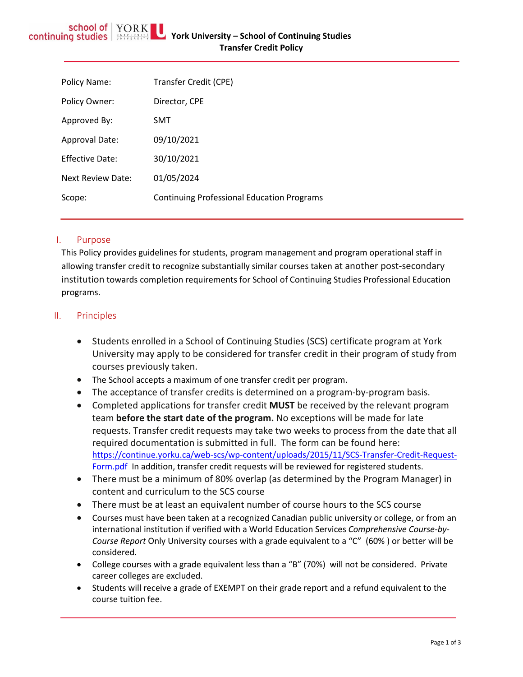| Policy Name:           | Transfer Credit (CPE)                             |
|------------------------|---------------------------------------------------|
| Policy Owner:          | Director, CPE                                     |
| Approved By:           | SMT                                               |
| <b>Approval Date:</b>  | 09/10/2021                                        |
| <b>Effective Date:</b> | 30/10/2021                                        |
| Next Review Date:      | 01/05/2024                                        |
| Scope:                 | <b>Continuing Professional Education Programs</b> |
|                        |                                                   |

## I. Purpose

This Policy provides guidelines for students, program management and program operational staff in allowing transfer credit to recognize substantially similar courses taken at another post-secondary institution towards completion requirements for School of Continuing Studies Professional Education programs.

# II. Principles

- Students enrolled in a School of Continuing Studies (SCS) certificate program at York University may apply to be considered for transfer credit in their program of study from courses previously taken.
- The School accepts a maximum of one transfer credit per program.
- The acceptance of transfer credits is determined on a program-by-program basis.
- Completed applications for transfer credit **MUST** be received by the relevant program team **before the start date of the program.** No exceptions will be made for late requests. Transfer credit requests may take two weeks to process from the date that all required documentation is submitted in full. The form can be found here: [https://continue.yorku.ca/web-scs/wp-content/uploads/2015/11/SCS-Transfer-Credit-Request-](https://continue.yorku.ca/web-scs/wp-content/uploads/2015/11/SCS-Transfer-Credit-Request-Form.pdf)[Form.pdf](https://continue.yorku.ca/web-scs/wp-content/uploads/2015/11/SCS-Transfer-Credit-Request-Form.pdf) In addition, transfer credit requests will be reviewed for registered students.
- There must be a minimum of 80% overlap (as determined by the Program Manager) in content and curriculum to the SCS course
- There must be at least an equivalent number of course hours to the SCS course
- Courses must have been taken at a recognized Canadian public university or college, or from an international institution if verified with a World Education Services *Comprehensive Course-by-Course Report* Only University courses with a grade equivalent to a "C" (60% ) or better will be considered.
- College courses with a grade equivalent less than a "B" (70%) will not be considered. Private career colleges are excluded.
- Students will receive a grade of EXEMPT on their grade report and a refund equivalent to the course tuition fee.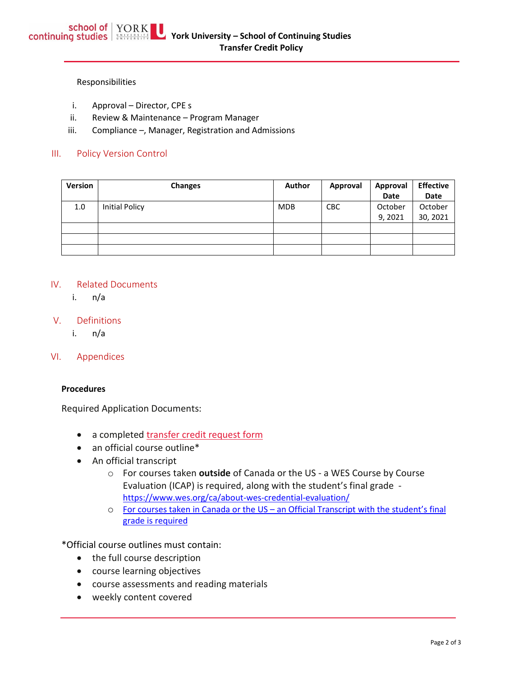#### Responsibilities

- i. Approval Director, CPE s
- ii. Review & Maintenance Program Manager
- iii. Compliance –, Manager, Registration and Admissions

### III. Policy Version Control

| Version | <b>Changes</b>        | Author     | Approval   | Approval | <b>Effective</b> |
|---------|-----------------------|------------|------------|----------|------------------|
|         |                       |            |            | Date     | Date             |
| 1.0     | <b>Initial Policy</b> | <b>MDB</b> | <b>CBC</b> | October  | October          |
|         |                       |            |            | 9, 2021  | 30, 2021         |
|         |                       |            |            |          |                  |
|         |                       |            |            |          |                  |
|         |                       |            |            |          |                  |

#### IV. Related Documents

i. n/a

### V. Definitions

i. n/a

VI. Appendices

#### **Procedures**

Required Application Documents:

- a completed [transfer credit request form](http://continue.yorku.ca/downloads/scs-transfer-credit-form.pdf)
- an official course outline\*
- An official transcript
	- o For courses taken **outside** of Canada or the US a WES Course by Course Evaluation (ICAP) is required, along with the student's final grade <https://www.wes.org/ca/about-wes-credential-evaluation/>
	- o For courses taken in Canada or the US an Official Transcript with the student's final grade is required

\*Official course outlines must contain:

- the full course description
- course learning objectives
- course assessments and reading materials
- weekly content covered